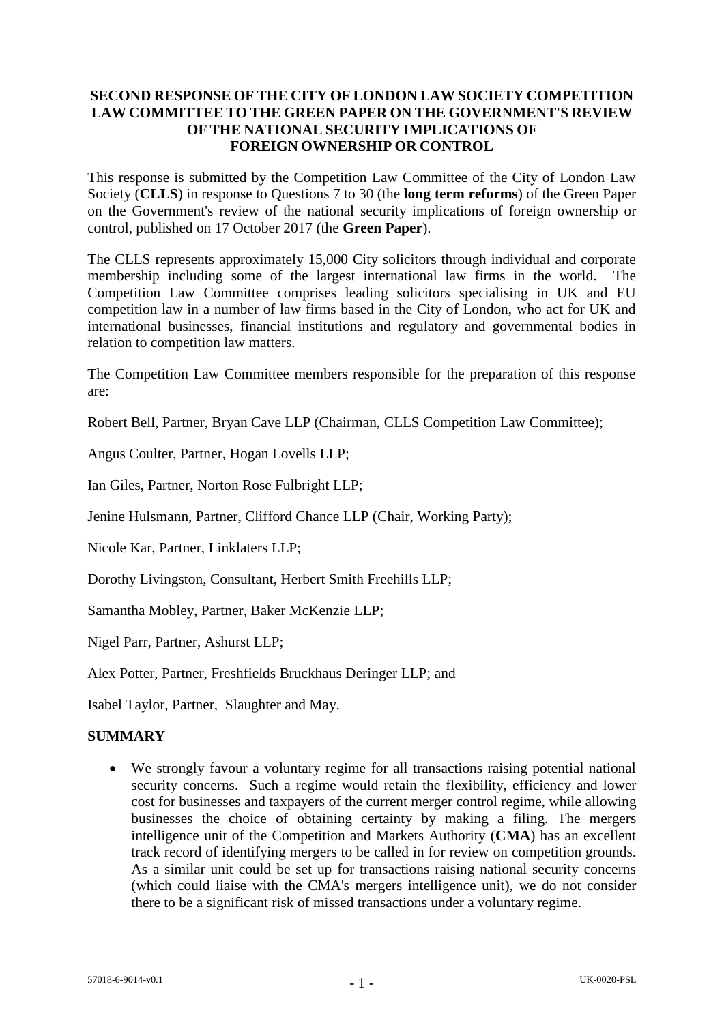# **SECOND RESPONSE OF THE CITY OF LONDON LAW SOCIETY COMPETITION LAW COMMITTEE TO THE GREEN PAPER ON THE GOVERNMENT'S REVIEW OF THE NATIONAL SECURITY IMPLICATIONS OF FOREIGN OWNERSHIP OR CONTROL**

This response is submitted by the Competition Law Committee of the City of London Law Society (**CLLS**) in response to Questions 7 to 30 (the **long term reforms**) of the Green Paper on the Government's review of the national security implications of foreign ownership or control, published on 17 October 2017 (the **Green Paper**).

The CLLS represents approximately 15,000 City solicitors through individual and corporate membership including some of the largest international law firms in the world. The Competition Law Committee comprises leading solicitors specialising in UK and EU competition law in a number of law firms based in the City of London, who act for UK and international businesses, financial institutions and regulatory and governmental bodies in relation to competition law matters.

The Competition Law Committee members responsible for the preparation of this response are:

Robert Bell, Partner, Bryan Cave LLP (Chairman, CLLS Competition Law Committee);

Angus Coulter, Partner, Hogan Lovells LLP;

Ian Giles, Partner, Norton Rose Fulbright LLP;

Jenine Hulsmann, Partner, Clifford Chance LLP (Chair, Working Party);

Nicole Kar, Partner, Linklaters LLP;

Dorothy Livingston, Consultant, Herbert Smith Freehills LLP;

Samantha Mobley, Partner, Baker McKenzie LLP;

Nigel Parr, Partner, Ashurst LLP;

Alex Potter, Partner, Freshfields Bruckhaus Deringer LLP; and

Isabel Taylor, Partner, Slaughter and May.

# **SUMMARY**

 We strongly favour a voluntary regime for all transactions raising potential national security concerns. Such a regime would retain the flexibility, efficiency and lower cost for businesses and taxpayers of the current merger control regime, while allowing businesses the choice of obtaining certainty by making a filing. The mergers intelligence unit of the Competition and Markets Authority (**CMA**) has an excellent track record of identifying mergers to be called in for review on competition grounds. As a similar unit could be set up for transactions raising national security concerns (which could liaise with the CMA's mergers intelligence unit), we do not consider there to be a significant risk of missed transactions under a voluntary regime.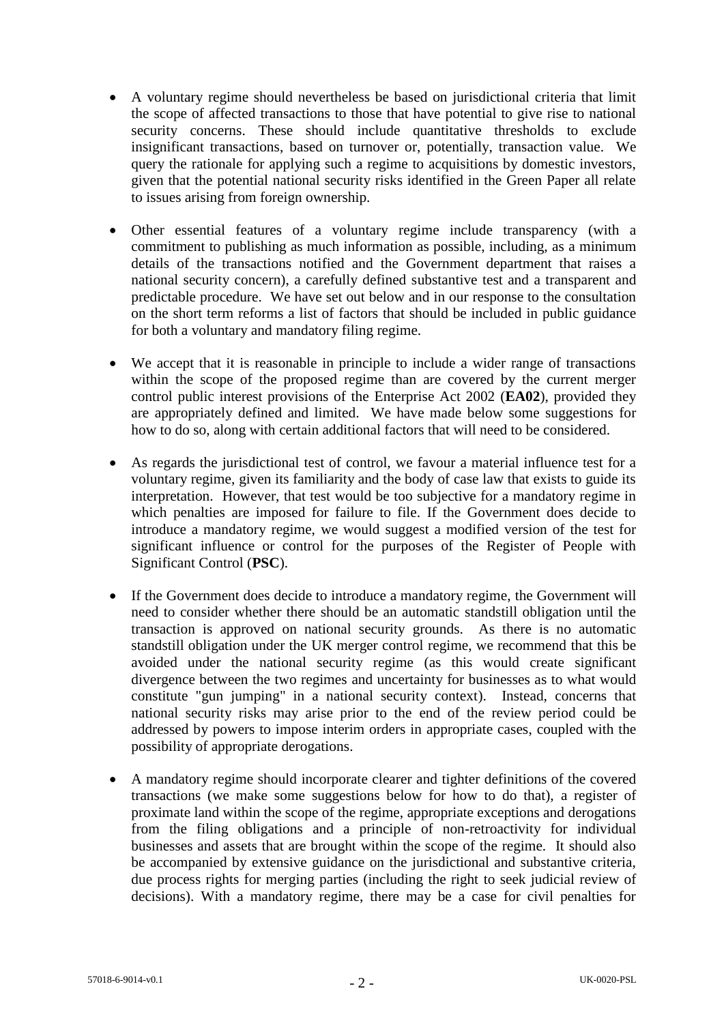- A voluntary regime should nevertheless be based on jurisdictional criteria that limit the scope of affected transactions to those that have potential to give rise to national security concerns. These should include quantitative thresholds to exclude insignificant transactions, based on turnover or, potentially, transaction value. We query the rationale for applying such a regime to acquisitions by domestic investors, given that the potential national security risks identified in the Green Paper all relate to issues arising from foreign ownership.
- Other essential features of a voluntary regime include transparency (with a commitment to publishing as much information as possible, including, as a minimum details of the transactions notified and the Government department that raises a national security concern), a carefully defined substantive test and a transparent and predictable procedure. We have set out below and in our response to the consultation on the short term reforms a list of factors that should be included in public guidance for both a voluntary and mandatory filing regime.
- We accept that it is reasonable in principle to include a wider range of transactions within the scope of the proposed regime than are covered by the current merger control public interest provisions of the Enterprise Act 2002 (**EA02**), provided they are appropriately defined and limited. We have made below some suggestions for how to do so, along with certain additional factors that will need to be considered.
- As regards the jurisdictional test of control, we favour a material influence test for a voluntary regime, given its familiarity and the body of case law that exists to guide its interpretation. However, that test would be too subjective for a mandatory regime in which penalties are imposed for failure to file. If the Government does decide to introduce a mandatory regime, we would suggest a modified version of the test for significant influence or control for the purposes of the Register of People with Significant Control (**PSC**).
- If the Government does decide to introduce a mandatory regime, the Government will need to consider whether there should be an automatic standstill obligation until the transaction is approved on national security grounds. As there is no automatic standstill obligation under the UK merger control regime, we recommend that this be avoided under the national security regime (as this would create significant divergence between the two regimes and uncertainty for businesses as to what would constitute "gun jumping" in a national security context). Instead, concerns that national security risks may arise prior to the end of the review period could be addressed by powers to impose interim orders in appropriate cases, coupled with the possibility of appropriate derogations.
- A mandatory regime should incorporate clearer and tighter definitions of the covered transactions (we make some suggestions below for how to do that), a register of proximate land within the scope of the regime, appropriate exceptions and derogations from the filing obligations and a principle of non-retroactivity for individual businesses and assets that are brought within the scope of the regime. It should also be accompanied by extensive guidance on the jurisdictional and substantive criteria, due process rights for merging parties (including the right to seek judicial review of decisions). With a mandatory regime, there may be a case for civil penalties for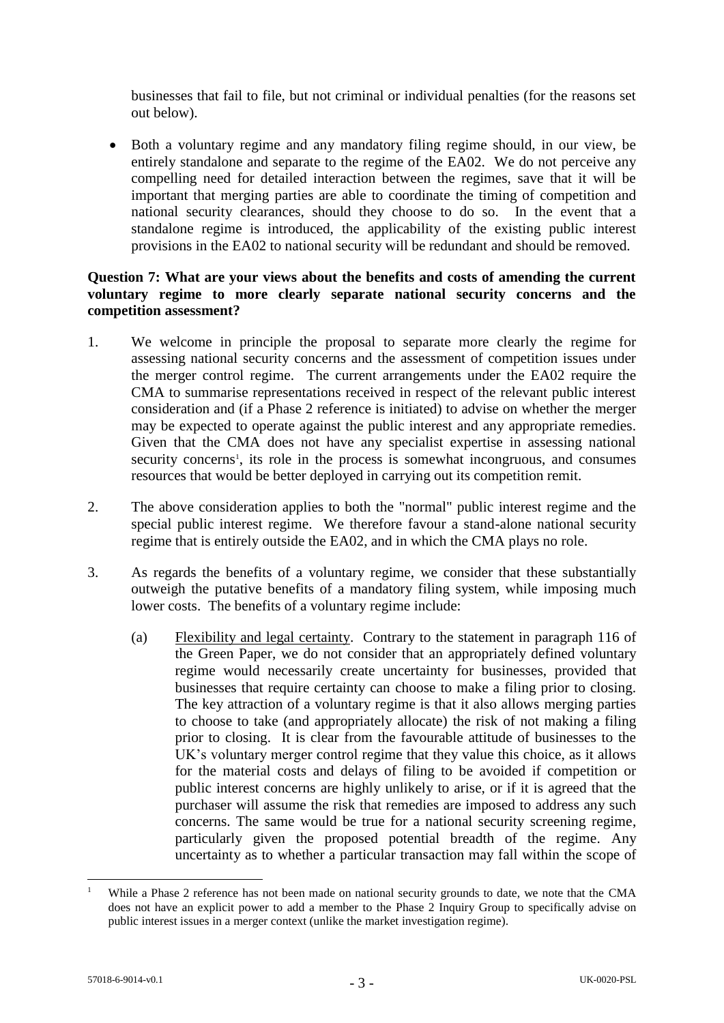businesses that fail to file, but not criminal or individual penalties (for the reasons set out below).

 Both a voluntary regime and any mandatory filing regime should, in our view, be entirely standalone and separate to the regime of the EA02. We do not perceive any compelling need for detailed interaction between the regimes, save that it will be important that merging parties are able to coordinate the timing of competition and national security clearances, should they choose to do so. In the event that a standalone regime is introduced, the applicability of the existing public interest provisions in the EA02 to national security will be redundant and should be removed.

#### **Question 7: What are your views about the benefits and costs of amending the current voluntary regime to more clearly separate national security concerns and the competition assessment?**

- 1. We welcome in principle the proposal to separate more clearly the regime for assessing national security concerns and the assessment of competition issues under the merger control regime. The current arrangements under the EA02 require the CMA to summarise representations received in respect of the relevant public interest consideration and (if a Phase 2 reference is initiated) to advise on whether the merger may be expected to operate against the public interest and any appropriate remedies. Given that the CMA does not have any specialist expertise in assessing national security concerns<sup>1</sup>, its role in the process is somewhat incongruous, and consumes resources that would be better deployed in carrying out its competition remit.
- 2. The above consideration applies to both the "normal" public interest regime and the special public interest regime. We therefore favour a stand-alone national security regime that is entirely outside the EA02, and in which the CMA plays no role.
- 3. As regards the benefits of a voluntary regime, we consider that these substantially outweigh the putative benefits of a mandatory filing system, while imposing much lower costs. The benefits of a voluntary regime include:
	- (a) Flexibility and legal certainty. Contrary to the statement in paragraph 116 of the Green Paper, we do not consider that an appropriately defined voluntary regime would necessarily create uncertainty for businesses, provided that businesses that require certainty can choose to make a filing prior to closing. The key attraction of a voluntary regime is that it also allows merging parties to choose to take (and appropriately allocate) the risk of not making a filing prior to closing. It is clear from the favourable attitude of businesses to the UK's voluntary merger control regime that they value this choice, as it allows for the material costs and delays of filing to be avoided if competition or public interest concerns are highly unlikely to arise, or if it is agreed that the purchaser will assume the risk that remedies are imposed to address any such concerns. The same would be true for a national security screening regime, particularly given the proposed potential breadth of the regime. Any uncertainty as to whether a particular transaction may fall within the scope of

<sup>&</sup>lt;u>.</u> While a Phase 2 reference has not been made on national security grounds to date, we note that the CMA does not have an explicit power to add a member to the Phase 2 Inquiry Group to specifically advise on public interest issues in a merger context (unlike the market investigation regime).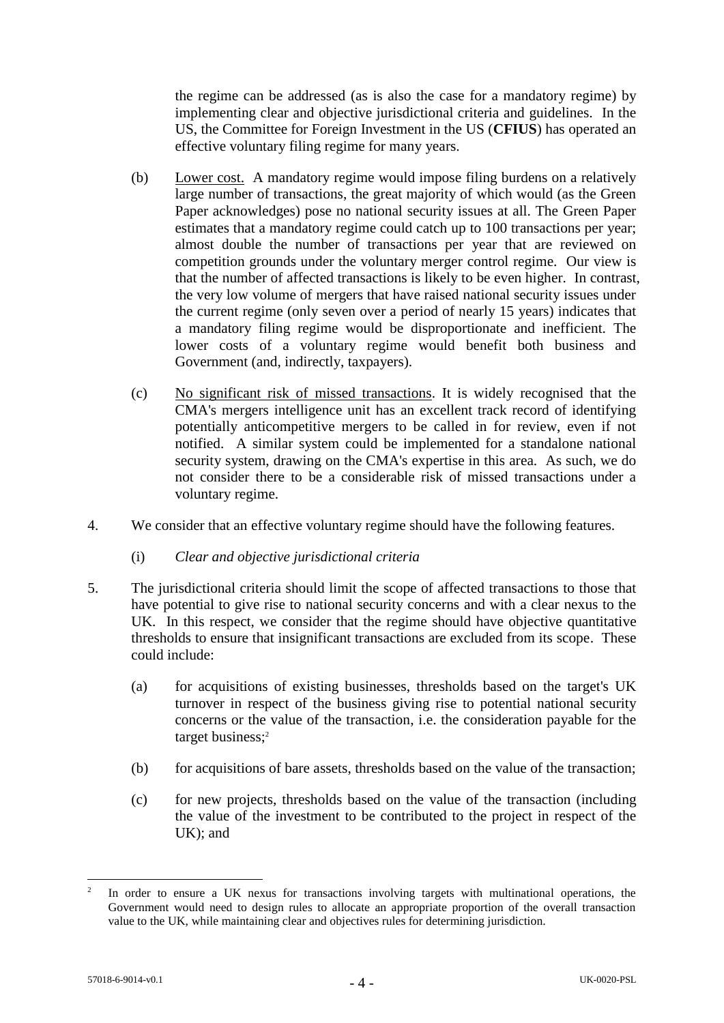the regime can be addressed (as is also the case for a mandatory regime) by implementing clear and objective jurisdictional criteria and guidelines. In the US, the Committee for Foreign Investment in the US (**CFIUS**) has operated an effective voluntary filing regime for many years.

- (b) Lower cost. A mandatory regime would impose filing burdens on a relatively large number of transactions, the great majority of which would (as the Green Paper acknowledges) pose no national security issues at all. The Green Paper estimates that a mandatory regime could catch up to 100 transactions per year; almost double the number of transactions per year that are reviewed on competition grounds under the voluntary merger control regime. Our view is that the number of affected transactions is likely to be even higher. In contrast, the very low volume of mergers that have raised national security issues under the current regime (only seven over a period of nearly 15 years) indicates that a mandatory filing regime would be disproportionate and inefficient. The lower costs of a voluntary regime would benefit both business and Government (and, indirectly, taxpayers).
- (c) No significant risk of missed transactions. It is widely recognised that the CMA's mergers intelligence unit has an excellent track record of identifying potentially anticompetitive mergers to be called in for review, even if not notified. A similar system could be implemented for a standalone national security system, drawing on the CMA's expertise in this area. As such, we do not consider there to be a considerable risk of missed transactions under a voluntary regime.
- 4. We consider that an effective voluntary regime should have the following features.
	- (i) *Clear and objective jurisdictional criteria*
- 5. The jurisdictional criteria should limit the scope of affected transactions to those that have potential to give rise to national security concerns and with a clear nexus to the UK. In this respect, we consider that the regime should have objective quantitative thresholds to ensure that insignificant transactions are excluded from its scope. These could include:
	- (a) for acquisitions of existing businesses, thresholds based on the target's UK turnover in respect of the business giving rise to potential national security concerns or the value of the transaction, i.e. the consideration payable for the target business; 2
	- (b) for acquisitions of bare assets, thresholds based on the value of the transaction;
	- (c) for new projects, thresholds based on the value of the transaction (including the value of the investment to be contributed to the project in respect of the UK); and

<sup>&</sup>lt;u>.</u> 2 In order to ensure a UK nexus for transactions involving targets with multinational operations, the Government would need to design rules to allocate an appropriate proportion of the overall transaction value to the UK, while maintaining clear and objectives rules for determining jurisdiction.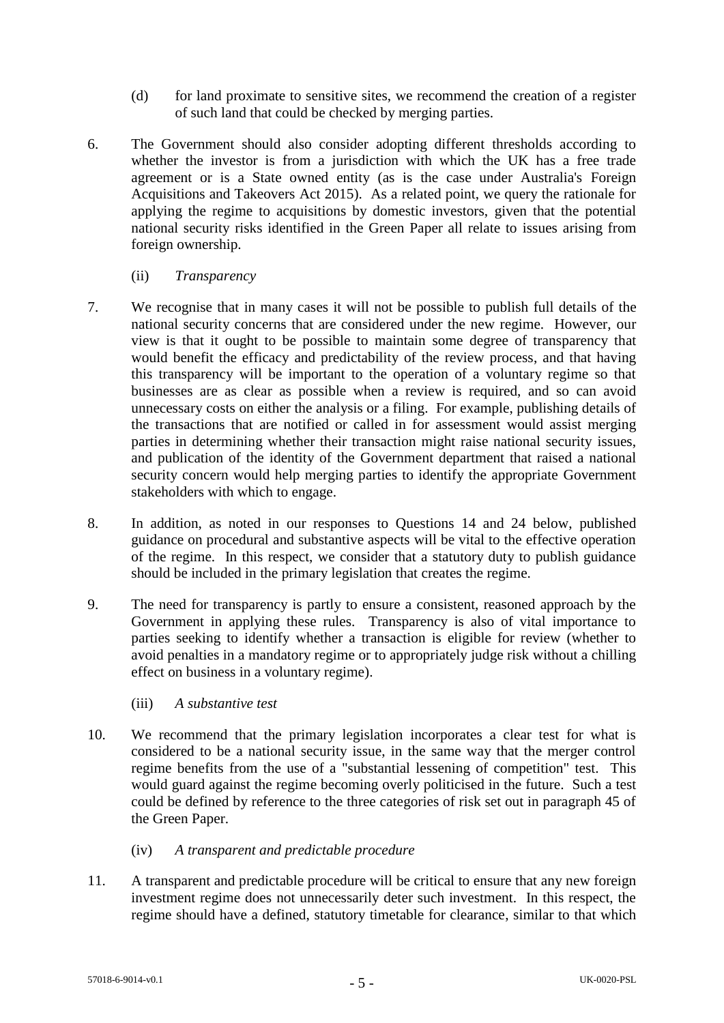- (d) for land proximate to sensitive sites, we recommend the creation of a register of such land that could be checked by merging parties.
- 6. The Government should also consider adopting different thresholds according to whether the investor is from a jurisdiction with which the UK has a free trade agreement or is a State owned entity (as is the case under Australia's Foreign Acquisitions and Takeovers Act 2015). As a related point, we query the rationale for applying the regime to acquisitions by domestic investors, given that the potential national security risks identified in the Green Paper all relate to issues arising from foreign ownership.
	- (ii) *Transparency*
- 7. We recognise that in many cases it will not be possible to publish full details of the national security concerns that are considered under the new regime. However, our view is that it ought to be possible to maintain some degree of transparency that would benefit the efficacy and predictability of the review process, and that having this transparency will be important to the operation of a voluntary regime so that businesses are as clear as possible when a review is required, and so can avoid unnecessary costs on either the analysis or a filing. For example, publishing details of the transactions that are notified or called in for assessment would assist merging parties in determining whether their transaction might raise national security issues, and publication of the identity of the Government department that raised a national security concern would help merging parties to identify the appropriate Government stakeholders with which to engage.
- 8. In addition, as noted in our responses to Questions 14 and 24 below, published guidance on procedural and substantive aspects will be vital to the effective operation of the regime. In this respect, we consider that a statutory duty to publish guidance should be included in the primary legislation that creates the regime.
- 9. The need for transparency is partly to ensure a consistent, reasoned approach by the Government in applying these rules. Transparency is also of vital importance to parties seeking to identify whether a transaction is eligible for review (whether to avoid penalties in a mandatory regime or to appropriately judge risk without a chilling effect on business in a voluntary regime).
	- (iii) *A substantive test*
- 10. We recommend that the primary legislation incorporates a clear test for what is considered to be a national security issue, in the same way that the merger control regime benefits from the use of a "substantial lessening of competition" test. This would guard against the regime becoming overly politicised in the future. Such a test could be defined by reference to the three categories of risk set out in paragraph 45 of the Green Paper.
	- (iv) *A transparent and predictable procedure*
- 11. A transparent and predictable procedure will be critical to ensure that any new foreign investment regime does not unnecessarily deter such investment. In this respect, the regime should have a defined, statutory timetable for clearance, similar to that which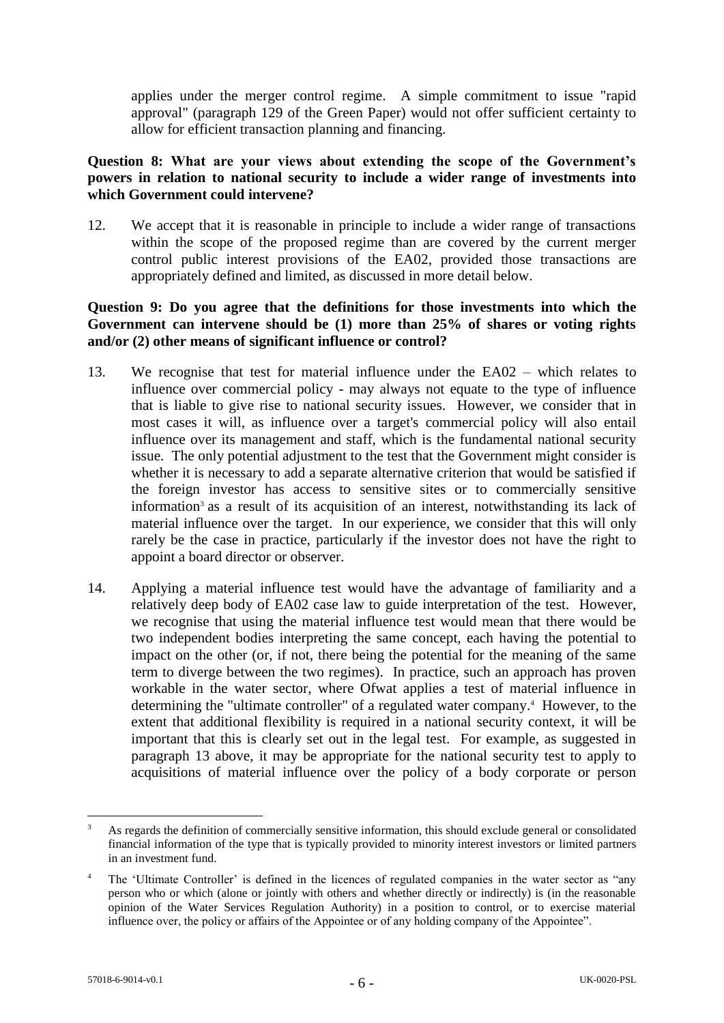applies under the merger control regime. A simple commitment to issue "rapid approval" (paragraph 129 of the Green Paper) would not offer sufficient certainty to allow for efficient transaction planning and financing.

# **Question 8: What are your views about extending the scope of the Government's powers in relation to national security to include a wider range of investments into which Government could intervene?**

12. We accept that it is reasonable in principle to include a wider range of transactions within the scope of the proposed regime than are covered by the current merger control public interest provisions of the EA02, provided those transactions are appropriately defined and limited, as discussed in more detail below.

# **Question 9: Do you agree that the definitions for those investments into which the Government can intervene should be (1) more than 25% of shares or voting rights and/or (2) other means of significant influence or control?**

- 13. We recognise that test for material influence under the EA02 which relates to influence over commercial policy - may always not equate to the type of influence that is liable to give rise to national security issues. However, we consider that in most cases it will, as influence over a target's commercial policy will also entail influence over its management and staff, which is the fundamental national security issue. The only potential adjustment to the test that the Government might consider is whether it is necessary to add a separate alternative criterion that would be satisfied if the foreign investor has access to sensitive sites or to commercially sensitive information<sup>3</sup> as a result of its acquisition of an interest, notwithstanding its lack of material influence over the target. In our experience, we consider that this will only rarely be the case in practice, particularly if the investor does not have the right to appoint a board director or observer.
- 14. Applying a material influence test would have the advantage of familiarity and a relatively deep body of EA02 case law to guide interpretation of the test. However, we recognise that using the material influence test would mean that there would be two independent bodies interpreting the same concept, each having the potential to impact on the other (or, if not, there being the potential for the meaning of the same term to diverge between the two regimes). In practice, such an approach has proven workable in the water sector, where Ofwat applies a test of material influence in determining the "ultimate controller" of a regulated water company.<sup>4</sup> However, to the extent that additional flexibility is required in a national security context, it will be important that this is clearly set out in the legal test. For example, as suggested in paragraph 13 above, it may be appropriate for the national security test to apply to acquisitions of material influence over the policy of a body corporate or person

<sup>1</sup> As regards the definition of commercially sensitive information, this should exclude general or consolidated financial information of the type that is typically provided to minority interest investors or limited partners in an investment fund.

<sup>4</sup> The 'Ultimate Controller' is defined in the licences of regulated companies in the water sector as "any person who or which (alone or jointly with others and whether directly or indirectly) is (in the reasonable opinion of the Water Services Regulation Authority) in a position to control, or to exercise material influence over, the policy or affairs of the Appointee or of any holding company of the Appointee".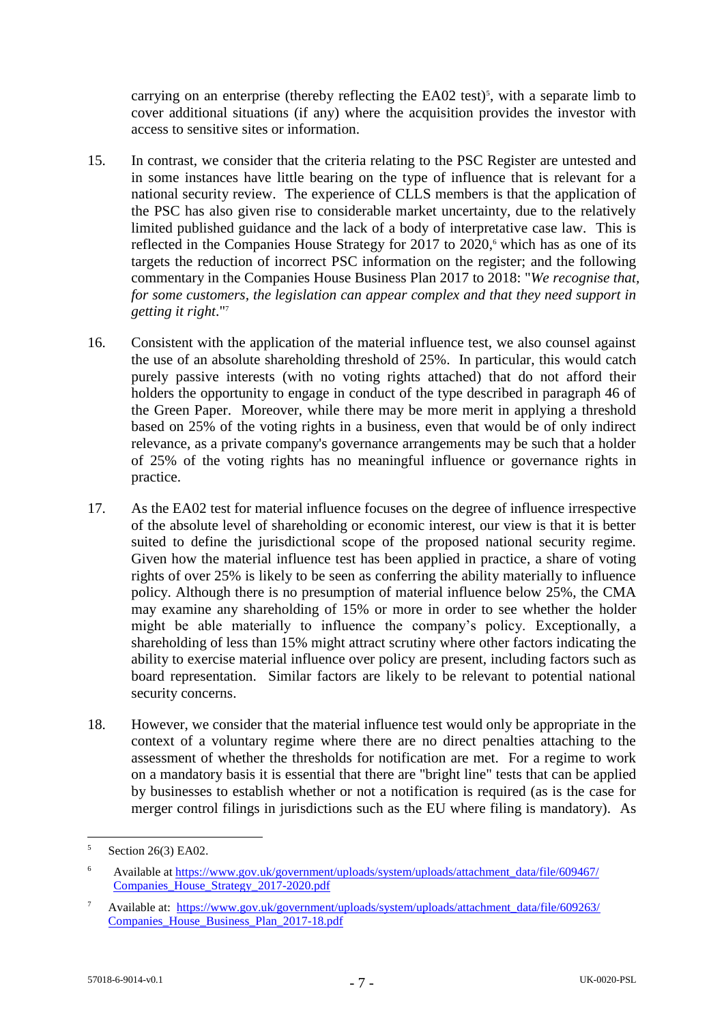carrying on an enterprise (thereby reflecting the  $E A02$  test)<sup>5</sup>, with a separate limb to cover additional situations (if any) where the acquisition provides the investor with access to sensitive sites or information.

- 15. In contrast, we consider that the criteria relating to the PSC Register are untested and in some instances have little bearing on the type of influence that is relevant for a national security review. The experience of CLLS members is that the application of the PSC has also given rise to considerable market uncertainty, due to the relatively limited published guidance and the lack of a body of interpretative case law. This is reflected in the Companies House Strategy for 2017 to 2020, <sup>6</sup> which has as one of its targets the reduction of incorrect PSC information on the register; and the following commentary in the Companies House Business Plan 2017 to 2018: "*We recognise that, for some customers, the legislation can appear complex and that they need support in getting it right*."<sup>7</sup>
- 16. Consistent with the application of the material influence test, we also counsel against the use of an absolute shareholding threshold of 25%. In particular, this would catch purely passive interests (with no voting rights attached) that do not afford their holders the opportunity to engage in conduct of the type described in paragraph 46 of the Green Paper. Moreover, while there may be more merit in applying a threshold based on 25% of the voting rights in a business, even that would be of only indirect relevance, as a private company's governance arrangements may be such that a holder of 25% of the voting rights has no meaningful influence or governance rights in practice.
- 17. As the EA02 test for material influence focuses on the degree of influence irrespective of the absolute level of shareholding or economic interest, our view is that it is better suited to define the jurisdictional scope of the proposed national security regime. Given how the material influence test has been applied in practice, a share of voting rights of over 25% is likely to be seen as conferring the ability materially to influence policy. Although there is no presumption of material influence below 25%, the CMA may examine any shareholding of 15% or more in order to see whether the holder might be able materially to influence the company's policy. Exceptionally, a shareholding of less than 15% might attract scrutiny where other factors indicating the ability to exercise material influence over policy are present, including factors such as board representation. Similar factors are likely to be relevant to potential national security concerns.
- 18. However, we consider that the material influence test would only be appropriate in the context of a voluntary regime where there are no direct penalties attaching to the assessment of whether the thresholds for notification are met. For a regime to work on a mandatory basis it is essential that there are "bright line" tests that can be applied by businesses to establish whether or not a notification is required (as is the case for merger control filings in jurisdictions such as the EU where filing is mandatory). As

<u>.</u>

<sup>5</sup> Section 26(3) EA02.

<sup>6</sup> Available at https://www.gov.uk/government/uploads/system/uploads/attachment\_data/file/609467/ Companies\_House\_Strategy\_2017-2020.pdf

<sup>&</sup>lt;sup>7</sup> Available at: https://www.gov.uk/government/uploads/system/uploads/attachment\_data/file/609263/ Companies\_House\_Business\_Plan\_2017-18.pdf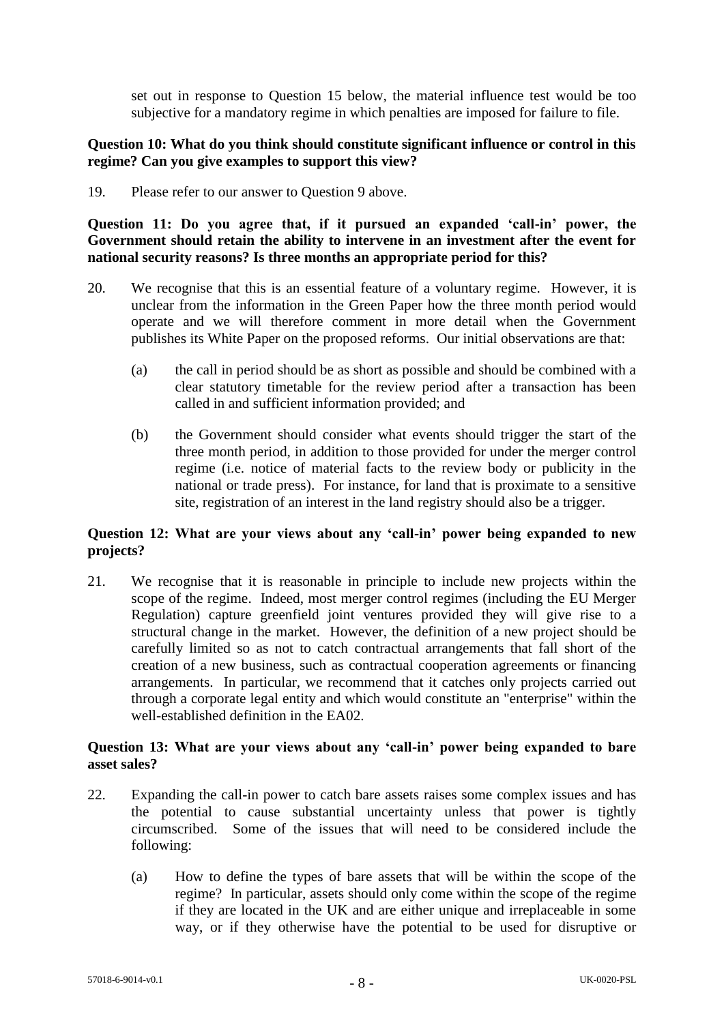set out in response to Question 15 below, the material influence test would be too subjective for a mandatory regime in which penalties are imposed for failure to file.

## **Question 10: What do you think should constitute significant influence or control in this regime? Can you give examples to support this view?**

19. Please refer to our answer to Question 9 above.

**Question 11: Do you agree that, if it pursued an expanded 'call-in' power, the Government should retain the ability to intervene in an investment after the event for national security reasons? Is three months an appropriate period for this?**

- 20. We recognise that this is an essential feature of a voluntary regime. However, it is unclear from the information in the Green Paper how the three month period would operate and we will therefore comment in more detail when the Government publishes its White Paper on the proposed reforms. Our initial observations are that:
	- (a) the call in period should be as short as possible and should be combined with a clear statutory timetable for the review period after a transaction has been called in and sufficient information provided; and
	- (b) the Government should consider what events should trigger the start of the three month period, in addition to those provided for under the merger control regime (i.e. notice of material facts to the review body or publicity in the national or trade press). For instance, for land that is proximate to a sensitive site, registration of an interest in the land registry should also be a trigger.

## **Question 12: What are your views about any 'call-in' power being expanded to new projects?**

21. We recognise that it is reasonable in principle to include new projects within the scope of the regime. Indeed, most merger control regimes (including the EU Merger Regulation) capture greenfield joint ventures provided they will give rise to a structural change in the market. However, the definition of a new project should be carefully limited so as not to catch contractual arrangements that fall short of the creation of a new business, such as contractual cooperation agreements or financing arrangements. In particular, we recommend that it catches only projects carried out through a corporate legal entity and which would constitute an "enterprise" within the well-established definition in the EA02.

#### **Question 13: What are your views about any 'call-in' power being expanded to bare asset sales?**

- 22. Expanding the call-in power to catch bare assets raises some complex issues and has the potential to cause substantial uncertainty unless that power is tightly circumscribed. Some of the issues that will need to be considered include the following:
	- (a) How to define the types of bare assets that will be within the scope of the regime? In particular, assets should only come within the scope of the regime if they are located in the UK and are either unique and irreplaceable in some way, or if they otherwise have the potential to be used for disruptive or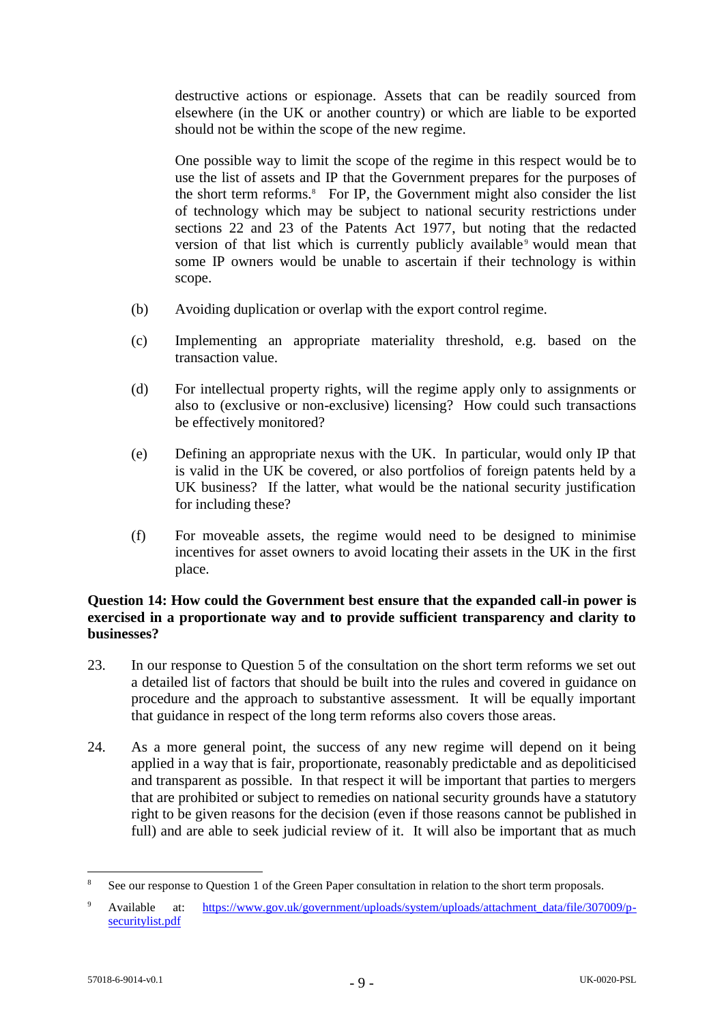destructive actions or espionage. Assets that can be readily sourced from elsewhere (in the UK or another country) or which are liable to be exported should not be within the scope of the new regime.

One possible way to limit the scope of the regime in this respect would be to use the list of assets and IP that the Government prepares for the purposes of the short term reforms.<sup>8</sup> For IP, the Government might also consider the list of technology which may be subject to national security restrictions under sections 22 and 23 of the Patents Act 1977, but noting that the redacted version of that list which is currently publicly available *would mean that* some IP owners would be unable to ascertain if their technology is within scope.

- (b) Avoiding duplication or overlap with the export control regime.
- (c) Implementing an appropriate materiality threshold, e.g. based on the transaction value.
- (d) For intellectual property rights, will the regime apply only to assignments or also to (exclusive or non-exclusive) licensing? How could such transactions be effectively monitored?
- (e) Defining an appropriate nexus with the UK. In particular, would only IP that is valid in the UK be covered, or also portfolios of foreign patents held by a UK business? If the latter, what would be the national security justification for including these?
- (f) For moveable assets, the regime would need to be designed to minimise incentives for asset owners to avoid locating their assets in the UK in the first place.

#### **Question 14: How could the Government best ensure that the expanded call-in power is exercised in a proportionate way and to provide sufficient transparency and clarity to businesses?**

- 23. In our response to Question 5 of the consultation on the short term reforms we set out a detailed list of factors that should be built into the rules and covered in guidance on procedure and the approach to substantive assessment. It will be equally important that guidance in respect of the long term reforms also covers those areas.
- 24. As a more general point, the success of any new regime will depend on it being applied in a way that is fair, proportionate, reasonably predictable and as depoliticised and transparent as possible. In that respect it will be important that parties to mergers that are prohibited or subject to remedies on national security grounds have a statutory right to be given reasons for the decision (even if those reasons cannot be published in full) and are able to seek judicial review of it. It will also be important that as much

<u>.</u>

See our response to Question 1 of the Green Paper consultation in relation to the short term proposals.

Available at: https://www.gov.uk/government/uploads/system/uploads/attachment\_data/file/307009/psecuritylist.pdf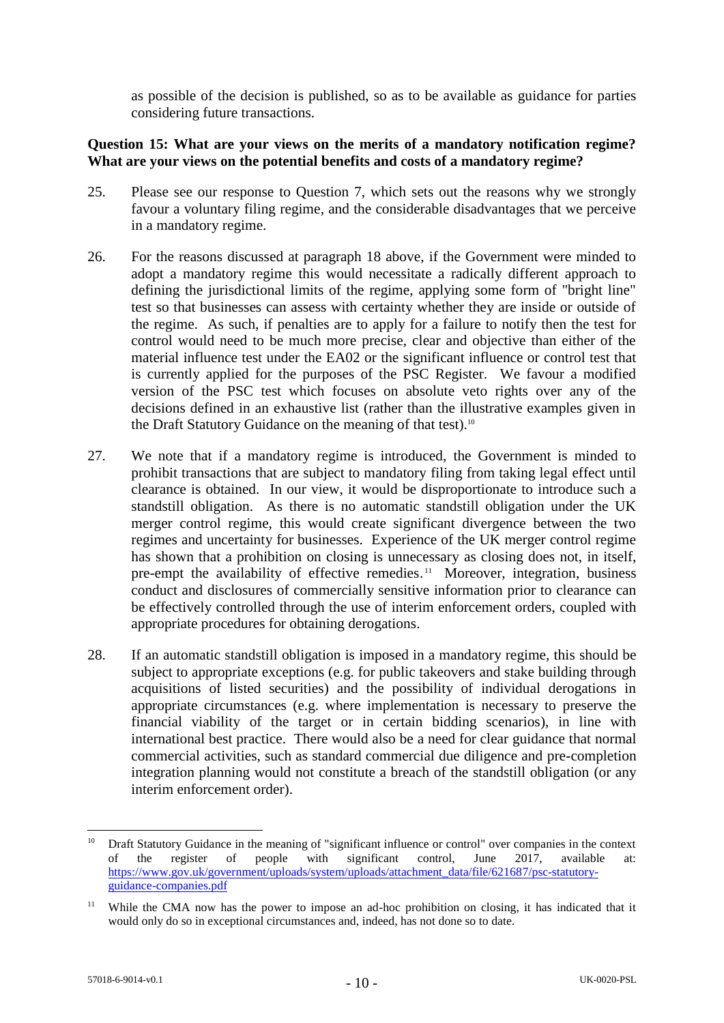as possible of the decision is published, so as to be available as guidance for parties considering future transactions.

#### **Question 15: What are your views on the merits of a mandatory notification regime? What are your views on the potential benefits and costs of a mandatory regime?**

- 25. Please see our response to Question 7, which sets out the reasons why we strongly favour a voluntary filing regime, and the considerable disadvantages that we perceive in a mandatory regime.
- 26. For the reasons discussed at paragraph 18 above, if the Government were minded to adopt a mandatory regime this would necessitate a radically different approach to defining the jurisdictional limits of the regime, applying some form of "bright line" test so that businesses can assess with certainty whether they are inside or outside of the regime. As such, if penalties are to apply for a failure to notify then the test for control would need to be much more precise, clear and objective than either of the material influence test under the EA02 or the significant influence or control test that is currently applied for the purposes of the PSC Register. We favour a modified version of the PSC test which focuses on absolute veto rights over any of the decisions defined in an exhaustive list (rather than the illustrative examples given in the Draft Statutory Guidance on the meaning of that test).<sup>10</sup>
- 27. We note that if a mandatory regime is introduced, the Government is minded to prohibit transactions that are subject to mandatory filing from taking legal effect until clearance is obtained. In our view, it would be disproportionate to introduce such a standstill obligation. As there is no automatic standstill obligation under the UK merger control regime, this would create significant divergence between the two regimes and uncertainty for businesses. Experience of the UK merger control regime has shown that a prohibition on closing is unnecessary as closing does not, in itself, pre-empt the availability of effective remedies.<sup>11</sup> Moreover, integration, business conduct and disclosures of commercially sensitive information prior to clearance can be effectively controlled through the use of interim enforcement orders, coupled with appropriate procedures for obtaining derogations.
- 28. If an automatic standstill obligation is imposed in a mandatory regime, this should be subject to appropriate exceptions (e.g. for public takeovers and stake building through acquisitions of listed securities) and the possibility of individual derogations in appropriate circumstances (e.g. where implementation is necessary to preserve the financial viability of the target or in certain bidding scenarios), in line with international best practice. There would also be a need for clear guidance that normal commercial activities, such as standard commercial due diligence and pre-completion integration planning would not constitute a breach of the standstill obligation (or any interim enforcement order).

1

<sup>&</sup>lt;sup>10</sup> Draft Statutory Guidance in the meaning of "significant influence or control" over companies in the context of the register of people with significant control, June 2017, available at: https://www.gov.uk/government/uploads/system/uploads/attachment\_data/file/621687/psc-statutoryguidance-companies.pdf

<sup>&</sup>lt;sup>11</sup> While the CMA now has the power to impose an ad-hoc prohibition on closing, it has indicated that it would only do so in exceptional circumstances and, indeed, has not done so to date.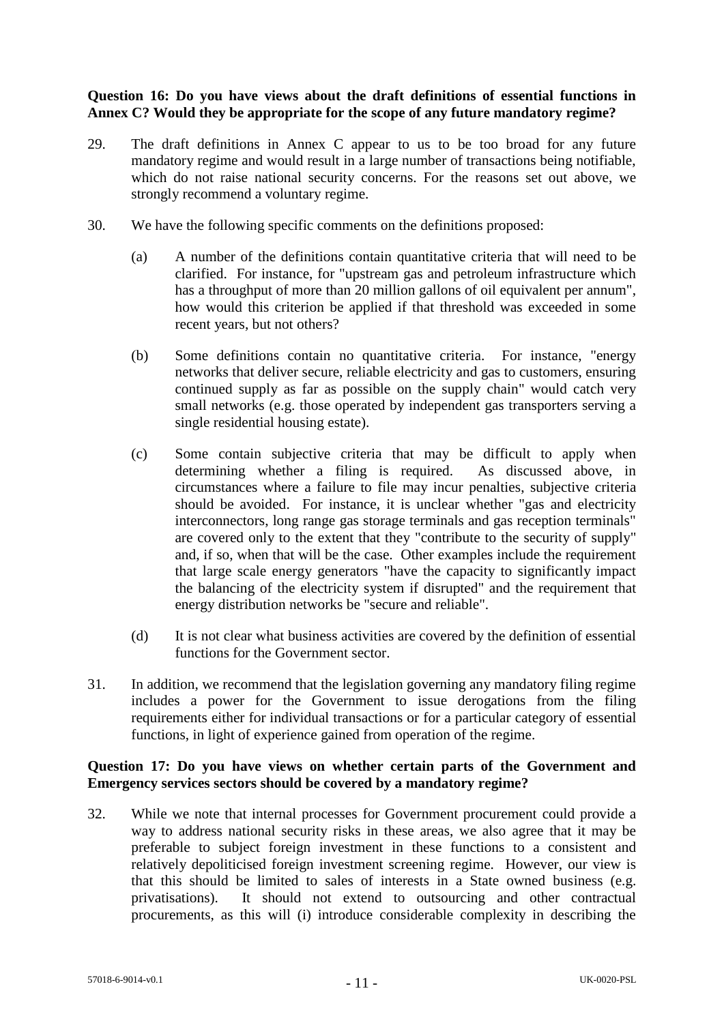#### **Question 16: Do you have views about the draft definitions of essential functions in Annex C? Would they be appropriate for the scope of any future mandatory regime?**

- 29. The draft definitions in Annex C appear to us to be too broad for any future mandatory regime and would result in a large number of transactions being notifiable, which do not raise national security concerns. For the reasons set out above, we strongly recommend a voluntary regime.
- 30. We have the following specific comments on the definitions proposed:
	- (a) A number of the definitions contain quantitative criteria that will need to be clarified. For instance, for "upstream gas and petroleum infrastructure which has a throughput of more than 20 million gallons of oil equivalent per annum", how would this criterion be applied if that threshold was exceeded in some recent years, but not others?
	- (b) Some definitions contain no quantitative criteria. For instance, "energy networks that deliver secure, reliable electricity and gas to customers, ensuring continued supply as far as possible on the supply chain" would catch very small networks (e.g. those operated by independent gas transporters serving a single residential housing estate).
	- (c) Some contain subjective criteria that may be difficult to apply when determining whether a filing is required. As discussed above, in circumstances where a failure to file may incur penalties, subjective criteria should be avoided. For instance, it is unclear whether "gas and electricity interconnectors, long range gas storage terminals and gas reception terminals" are covered only to the extent that they "contribute to the security of supply" and, if so, when that will be the case. Other examples include the requirement that large scale energy generators "have the capacity to significantly impact the balancing of the electricity system if disrupted" and the requirement that energy distribution networks be "secure and reliable".
	- (d) It is not clear what business activities are covered by the definition of essential functions for the Government sector.
- 31. In addition, we recommend that the legislation governing any mandatory filing regime includes a power for the Government to issue derogations from the filing requirements either for individual transactions or for a particular category of essential functions, in light of experience gained from operation of the regime.

# **Question 17: Do you have views on whether certain parts of the Government and Emergency services sectors should be covered by a mandatory regime?**

32. While we note that internal processes for Government procurement could provide a way to address national security risks in these areas, we also agree that it may be preferable to subject foreign investment in these functions to a consistent and relatively depoliticised foreign investment screening regime. However, our view is that this should be limited to sales of interests in a State owned business (e.g. privatisations). It should not extend to outsourcing and other contractual procurements, as this will (i) introduce considerable complexity in describing the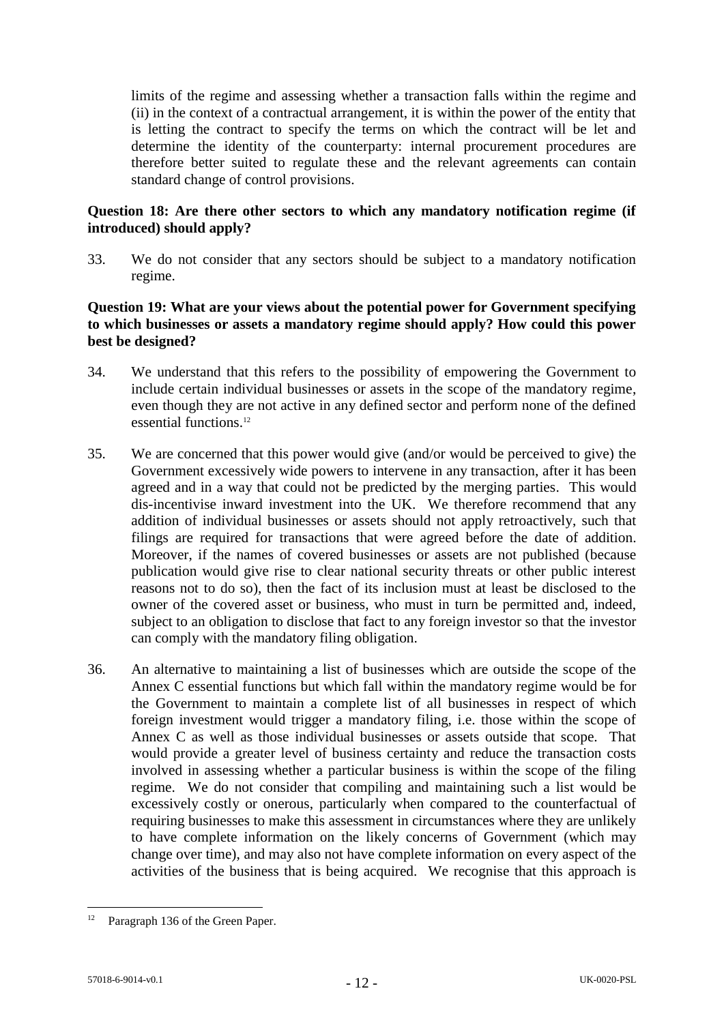limits of the regime and assessing whether a transaction falls within the regime and (ii) in the context of a contractual arrangement, it is within the power of the entity that is letting the contract to specify the terms on which the contract will be let and determine the identity of the counterparty: internal procurement procedures are therefore better suited to regulate these and the relevant agreements can contain standard change of control provisions.

# **Question 18: Are there other sectors to which any mandatory notification regime (if introduced) should apply?**

33. We do not consider that any sectors should be subject to a mandatory notification regime.

## **Question 19: What are your views about the potential power for Government specifying to which businesses or assets a mandatory regime should apply? How could this power best be designed?**

- 34. We understand that this refers to the possibility of empowering the Government to include certain individual businesses or assets in the scope of the mandatory regime, even though they are not active in any defined sector and perform none of the defined essential functions. 12
- 35. We are concerned that this power would give (and/or would be perceived to give) the Government excessively wide powers to intervene in any transaction, after it has been agreed and in a way that could not be predicted by the merging parties. This would dis-incentivise inward investment into the UK. We therefore recommend that any addition of individual businesses or assets should not apply retroactively, such that filings are required for transactions that were agreed before the date of addition. Moreover, if the names of covered businesses or assets are not published (because publication would give rise to clear national security threats or other public interest reasons not to do so), then the fact of its inclusion must at least be disclosed to the owner of the covered asset or business, who must in turn be permitted and, indeed, subject to an obligation to disclose that fact to any foreign investor so that the investor can comply with the mandatory filing obligation.
- 36. An alternative to maintaining a list of businesses which are outside the scope of the Annex C essential functions but which fall within the mandatory regime would be for the Government to maintain a complete list of all businesses in respect of which foreign investment would trigger a mandatory filing, i.e. those within the scope of Annex C as well as those individual businesses or assets outside that scope. That would provide a greater level of business certainty and reduce the transaction costs involved in assessing whether a particular business is within the scope of the filing regime. We do not consider that compiling and maintaining such a list would be excessively costly or onerous, particularly when compared to the counterfactual of requiring businesses to make this assessment in circumstances where they are unlikely to have complete information on the likely concerns of Government (which may change over time), and may also not have complete information on every aspect of the activities of the business that is being acquired. We recognise that this approach is

 $12$ Paragraph 136 of the Green Paper.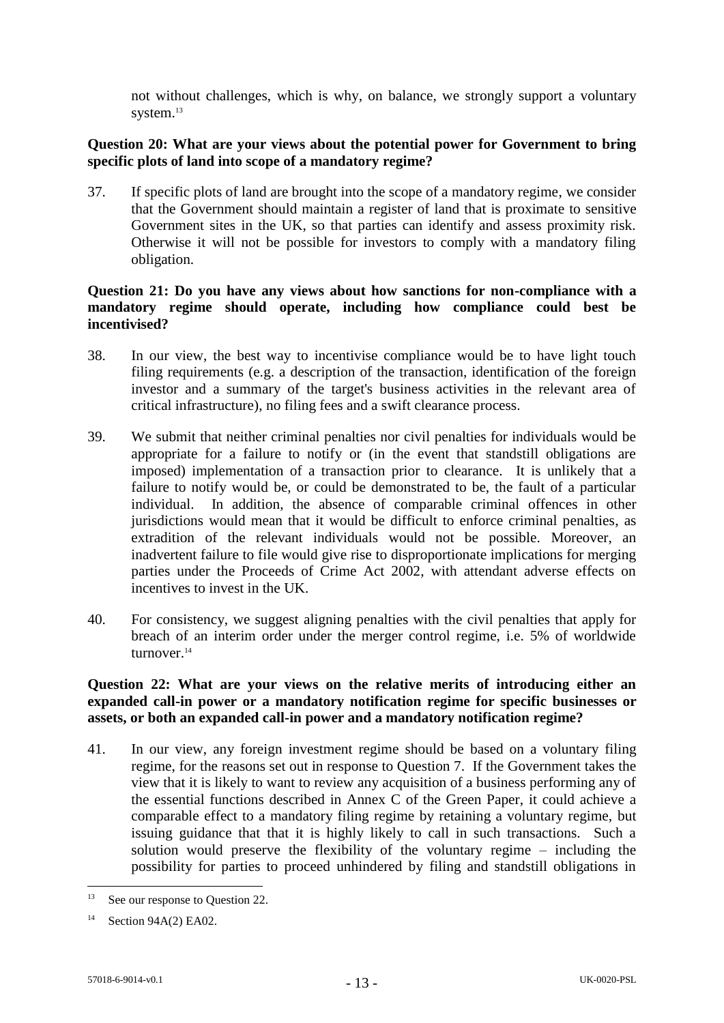not without challenges, which is why, on balance, we strongly support a voluntary system.<sup>13</sup>

# **Question 20: What are your views about the potential power for Government to bring specific plots of land into scope of a mandatory regime?**

37. If specific plots of land are brought into the scope of a mandatory regime, we consider that the Government should maintain a register of land that is proximate to sensitive Government sites in the UK, so that parties can identify and assess proximity risk. Otherwise it will not be possible for investors to comply with a mandatory filing obligation.

# **Question 21: Do you have any views about how sanctions for non-compliance with a mandatory regime should operate, including how compliance could best be incentivised?**

- 38. In our view, the best way to incentivise compliance would be to have light touch filing requirements (e.g. a description of the transaction, identification of the foreign investor and a summary of the target's business activities in the relevant area of critical infrastructure), no filing fees and a swift clearance process.
- 39. We submit that neither criminal penalties nor civil penalties for individuals would be appropriate for a failure to notify or (in the event that standstill obligations are imposed) implementation of a transaction prior to clearance. It is unlikely that a failure to notify would be, or could be demonstrated to be, the fault of a particular individual. In addition, the absence of comparable criminal offences in other jurisdictions would mean that it would be difficult to enforce criminal penalties, as extradition of the relevant individuals would not be possible. Moreover, an inadvertent failure to file would give rise to disproportionate implications for merging parties under the Proceeds of Crime Act 2002, with attendant adverse effects on incentives to invest in the UK.
- 40. For consistency, we suggest aligning penalties with the civil penalties that apply for breach of an interim order under the merger control regime, i.e. 5% of worldwide turnover.<sup>14</sup>

# **Question 22: What are your views on the relative merits of introducing either an expanded call-in power or a mandatory notification regime for specific businesses or assets, or both an expanded call-in power and a mandatory notification regime?**

41. In our view, any foreign investment regime should be based on a voluntary filing regime, for the reasons set out in response to Question 7. If the Government takes the view that it is likely to want to review any acquisition of a business performing any of the essential functions described in Annex C of the Green Paper, it could achieve a comparable effect to a mandatory filing regime by retaining a voluntary regime, but issuing guidance that that it is highly likely to call in such transactions. Such a solution would preserve the flexibility of the voluntary regime – including the possibility for parties to proceed unhindered by filing and standstill obligations in

 $13$ See our response to Ouestion 22.

<sup>14</sup> Section 94A(2) EA02.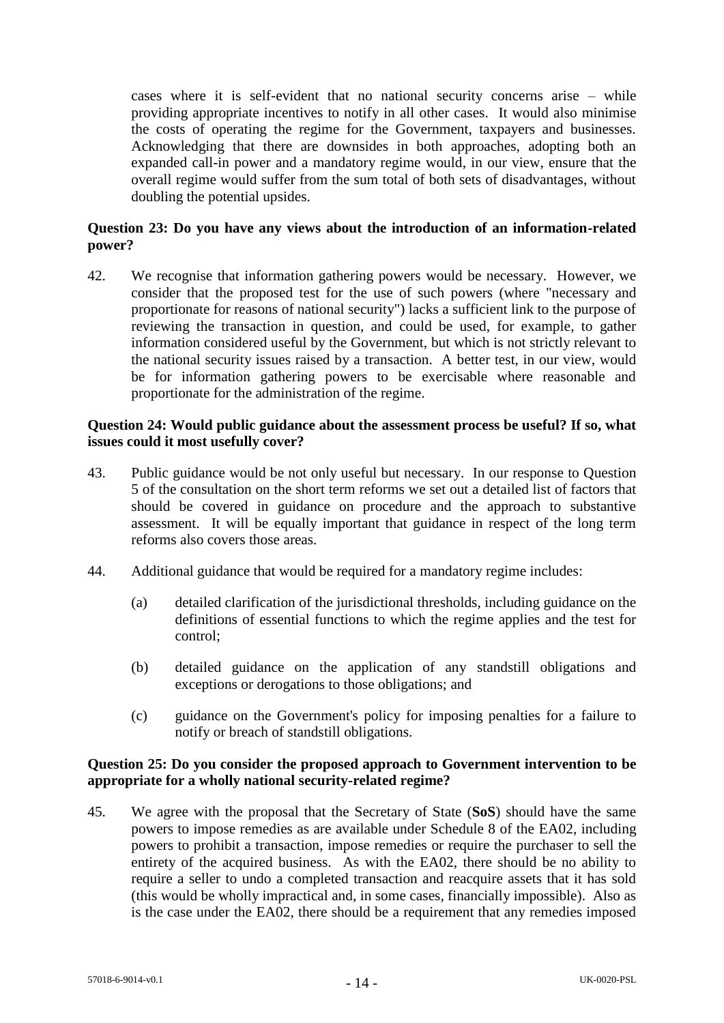cases where it is self-evident that no national security concerns arise – while providing appropriate incentives to notify in all other cases. It would also minimise the costs of operating the regime for the Government, taxpayers and businesses. Acknowledging that there are downsides in both approaches, adopting both an expanded call-in power and a mandatory regime would, in our view, ensure that the overall regime would suffer from the sum total of both sets of disadvantages, without doubling the potential upsides.

## **Question 23: Do you have any views about the introduction of an information-related power?**

42. We recognise that information gathering powers would be necessary. However, we consider that the proposed test for the use of such powers (where "necessary and proportionate for reasons of national security") lacks a sufficient link to the purpose of reviewing the transaction in question, and could be used, for example, to gather information considered useful by the Government, but which is not strictly relevant to the national security issues raised by a transaction. A better test, in our view, would be for information gathering powers to be exercisable where reasonable and proportionate for the administration of the regime.

#### **Question 24: Would public guidance about the assessment process be useful? If so, what issues could it most usefully cover?**

- 43. Public guidance would be not only useful but necessary. In our response to Question 5 of the consultation on the short term reforms we set out a detailed list of factors that should be covered in guidance on procedure and the approach to substantive assessment. It will be equally important that guidance in respect of the long term reforms also covers those areas.
- 44. Additional guidance that would be required for a mandatory regime includes:
	- (a) detailed clarification of the jurisdictional thresholds, including guidance on the definitions of essential functions to which the regime applies and the test for control;
	- (b) detailed guidance on the application of any standstill obligations and exceptions or derogations to those obligations; and
	- (c) guidance on the Government's policy for imposing penalties for a failure to notify or breach of standstill obligations.

#### **Question 25: Do you consider the proposed approach to Government intervention to be appropriate for a wholly national security-related regime?**

45. We agree with the proposal that the Secretary of State (**SoS**) should have the same powers to impose remedies as are available under Schedule 8 of the EA02, including powers to prohibit a transaction, impose remedies or require the purchaser to sell the entirety of the acquired business. As with the EA02, there should be no ability to require a seller to undo a completed transaction and reacquire assets that it has sold (this would be wholly impractical and, in some cases, financially impossible). Also as is the case under the EA02, there should be a requirement that any remedies imposed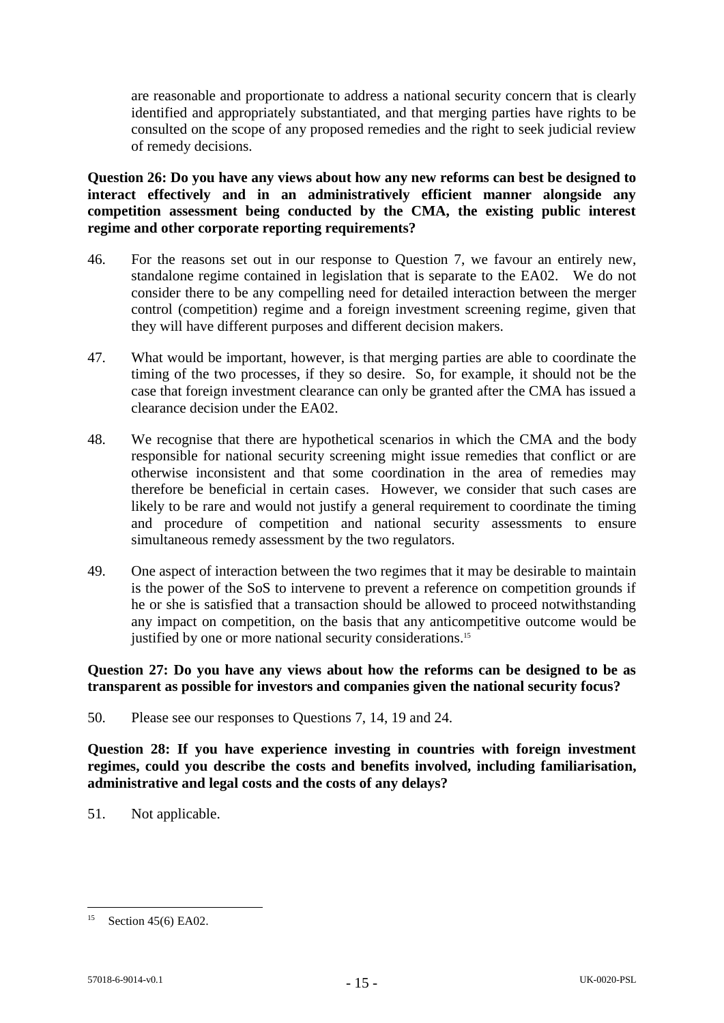are reasonable and proportionate to address a national security concern that is clearly identified and appropriately substantiated, and that merging parties have rights to be consulted on the scope of any proposed remedies and the right to seek judicial review of remedy decisions.

**Question 26: Do you have any views about how any new reforms can best be designed to interact effectively and in an administratively efficient manner alongside any competition assessment being conducted by the CMA, the existing public interest regime and other corporate reporting requirements?**

- 46. For the reasons set out in our response to Question 7, we favour an entirely new, standalone regime contained in legislation that is separate to the EA02. We do not consider there to be any compelling need for detailed interaction between the merger control (competition) regime and a foreign investment screening regime, given that they will have different purposes and different decision makers.
- 47. What would be important, however, is that merging parties are able to coordinate the timing of the two processes, if they so desire. So, for example, it should not be the case that foreign investment clearance can only be granted after the CMA has issued a clearance decision under the EA02.
- 48. We recognise that there are hypothetical scenarios in which the CMA and the body responsible for national security screening might issue remedies that conflict or are otherwise inconsistent and that some coordination in the area of remedies may therefore be beneficial in certain cases. However, we consider that such cases are likely to be rare and would not justify a general requirement to coordinate the timing and procedure of competition and national security assessments to ensure simultaneous remedy assessment by the two regulators.
- 49. One aspect of interaction between the two regimes that it may be desirable to maintain is the power of the SoS to intervene to prevent a reference on competition grounds if he or she is satisfied that a transaction should be allowed to proceed notwithstanding any impact on competition, on the basis that any anticompetitive outcome would be justified by one or more national security considerations.<sup>15</sup>

**Question 27: Do you have any views about how the reforms can be designed to be as transparent as possible for investors and companies given the national security focus?**

50. Please see our responses to Questions 7, 14, 19 and 24.

**Question 28: If you have experience investing in countries with foreign investment regimes, could you describe the costs and benefits involved, including familiarisation, administrative and legal costs and the costs of any delays?**

51. Not applicable.

1

<sup>&</sup>lt;sup>15</sup> Section 45(6) EA02.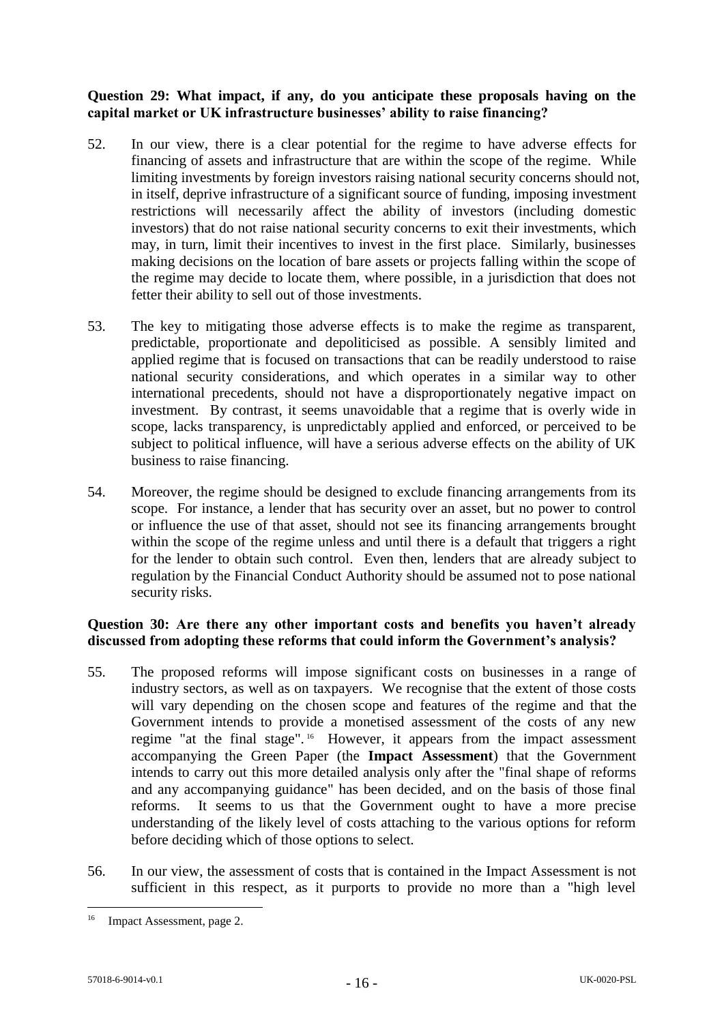## **Question 29: What impact, if any, do you anticipate these proposals having on the capital market or UK infrastructure businesses' ability to raise financing?**

- 52. In our view, there is a clear potential for the regime to have adverse effects for financing of assets and infrastructure that are within the scope of the regime. While limiting investments by foreign investors raising national security concerns should not, in itself, deprive infrastructure of a significant source of funding, imposing investment restrictions will necessarily affect the ability of investors (including domestic investors) that do not raise national security concerns to exit their investments, which may, in turn, limit their incentives to invest in the first place. Similarly, businesses making decisions on the location of bare assets or projects falling within the scope of the regime may decide to locate them, where possible, in a jurisdiction that does not fetter their ability to sell out of those investments.
- 53. The key to mitigating those adverse effects is to make the regime as transparent, predictable, proportionate and depoliticised as possible. A sensibly limited and applied regime that is focused on transactions that can be readily understood to raise national security considerations, and which operates in a similar way to other international precedents, should not have a disproportionately negative impact on investment. By contrast, it seems unavoidable that a regime that is overly wide in scope, lacks transparency, is unpredictably applied and enforced, or perceived to be subject to political influence, will have a serious adverse effects on the ability of UK business to raise financing.
- 54. Moreover, the regime should be designed to exclude financing arrangements from its scope. For instance, a lender that has security over an asset, but no power to control or influence the use of that asset, should not see its financing arrangements brought within the scope of the regime unless and until there is a default that triggers a right for the lender to obtain such control. Even then, lenders that are already subject to regulation by the Financial Conduct Authority should be assumed not to pose national security risks.

# **Question 30: Are there any other important costs and benefits you haven't already discussed from adopting these reforms that could inform the Government's analysis?**

- 55. The proposed reforms will impose significant costs on businesses in a range of industry sectors, as well as on taxpayers. We recognise that the extent of those costs will vary depending on the chosen scope and features of the regime and that the Government intends to provide a monetised assessment of the costs of any new regime "at the final stage". 16 However, it appears from the impact assessment accompanying the Green Paper (the **Impact Assessment**) that the Government intends to carry out this more detailed analysis only after the "final shape of reforms and any accompanying guidance" has been decided, and on the basis of those final reforms. It seems to us that the Government ought to have a more precise understanding of the likely level of costs attaching to the various options for reform before deciding which of those options to select.
- 56. In our view, the assessment of costs that is contained in the Impact Assessment is not sufficient in this respect, as it purports to provide no more than a "high level

1

<sup>&</sup>lt;sup>16</sup> Impact Assessment, page 2.